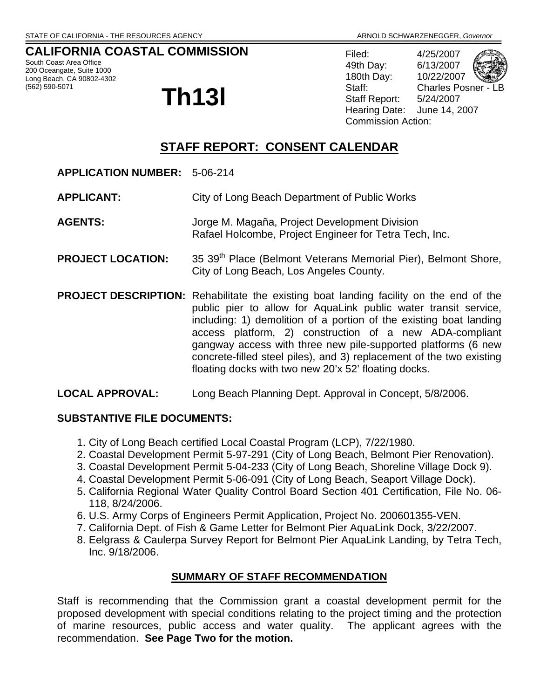## **CALIFORNIA COASTAL COMMISSION**

South Coast Area Office 200 Oceangate, Suite 1000 Long Beach, CA 90802-4302

# (562) 590-5071<br> **Th13l**

Filed: 4/25/2007 49th Day: 6/13/2007 180th Day: 10/22/2007 Staff: Charles Posner - LB Staff Report: 5/24/2007 Hearing Date: June 14, 2007 Commission Action:

## **STAFF REPORT: CONSENT CALENDAR**

- **APPLICATION NUMBER:** 5-06-214
- **APPLICANT:** City of Long Beach Department of Public Works
- **AGENTS:** Jorge M. Magaña, Project Development Division Rafael Holcombe, Project Engineer for Tetra Tech, Inc.
- **PROJECT LOCATION:** 35 39<sup>th</sup> Place (Belmont Veterans Memorial Pier), Belmont Shore, City of Long Beach, Los Angeles County.
- **PROJECT DESCRIPTION:** Rehabilitate the existing boat landing facility on the end of the public pier to allow for AquaLink public water transit service, including: 1) demolition of a portion of the existing boat landing access platform, 2) construction of a new ADA-compliant gangway access with three new pile-supported platforms (6 new concrete-filled steel piles), and 3) replacement of the two existing floating docks with two new 20'x 52' floating docks.

#### **LOCAL APPROVAL:** Long Beach Planning Dept. Approval in Concept, 5/8/2006.

#### **SUBSTANTIVE FILE DOCUMENTS:**

- 1. City of Long Beach certified Local Coastal Program (LCP), 7/22/1980.
- 2. Coastal Development Permit 5-97-291 (City of Long Beach, Belmont Pier Renovation).
- 3. Coastal Development Permit 5-04-233 (City of Long Beach, Shoreline Village Dock 9).
- 4. Coastal Development Permit 5-06-091 (City of Long Beach, Seaport Village Dock).
- 5. California Regional Water Quality Control Board Section 401 Certification, File No. 06- 118, 8/24/2006.
- 6. U.S. Army Corps of Engineers Permit Application, Project No. 200601355-VEN.
- 7. California Dept. of Fish & Game Letter for Belmont Pier AquaLink Dock, 3/22/2007.
- 8. Eelgrass & Caulerpa Survey Report for Belmont Pier AquaLink Landing, by Tetra Tech, Inc. 9/18/2006.

#### **SUMMARY OF STAFF RECOMMENDATION**

Staff is recommending that the Commission grant a coastal development permit for the proposed development with special conditions relating to the project timing and the protection of marine resources, public access and water quality. The applicant agrees with the recommendation. **See Page Two for the motion.**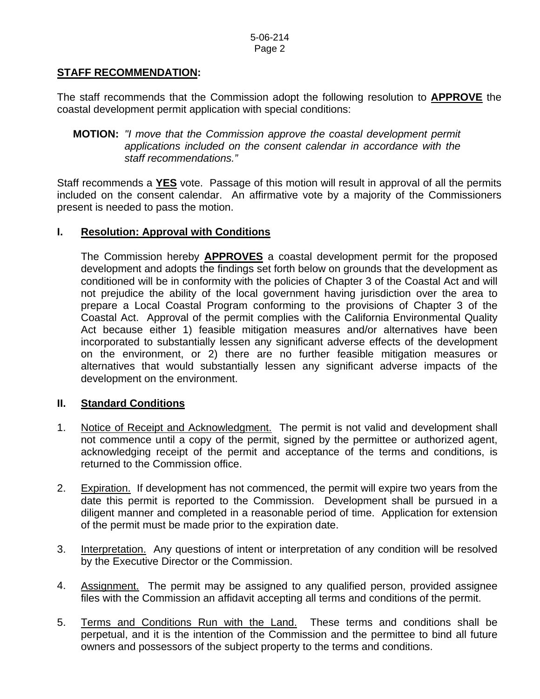### **STAFF RECOMMENDATION:**

The staff recommends that the Commission adopt the following resolution to **APPROVE** the coastal development permit application with special conditions:

#### **MOTION:** *"I move that the Commission approve the coastal development permit applications included on the consent calendar in accordance with the staff recommendations."*

Staff recommends a **YES** vote. Passage of this motion will result in approval of all the permits included on the consent calendar. An affirmative vote by a majority of the Commissioners present is needed to pass the motion.

#### **I. Resolution: Approval with Conditions**

The Commission hereby **APPROVES** a coastal development permit for the proposed development and adopts the findings set forth below on grounds that the development as conditioned will be in conformity with the policies of Chapter 3 of the Coastal Act and will not prejudice the ability of the local government having jurisdiction over the area to prepare a Local Coastal Program conforming to the provisions of Chapter 3 of the Coastal Act. Approval of the permit complies with the California Environmental Quality Act because either 1) feasible mitigation measures and/or alternatives have been incorporated to substantially lessen any significant adverse effects of the development on the environment, or 2) there are no further feasible mitigation measures or alternatives that would substantially lessen any significant adverse impacts of the development on the environment.

#### **II. Standard Conditions**

- 1. Notice of Receipt and Acknowledgment. The permit is not valid and development shall not commence until a copy of the permit, signed by the permittee or authorized agent, acknowledging receipt of the permit and acceptance of the terms and conditions, is returned to the Commission office.
- 2. Expiration. If development has not commenced, the permit will expire two years from the date this permit is reported to the Commission. Development shall be pursued in a diligent manner and completed in a reasonable period of time. Application for extension of the permit must be made prior to the expiration date.
- 3. Interpretation. Any questions of intent or interpretation of any condition will be resolved by the Executive Director or the Commission.
- 4. Assignment. The permit may be assigned to any qualified person, provided assignee files with the Commission an affidavit accepting all terms and conditions of the permit.
- 5. Terms and Conditions Run with the Land. These terms and conditions shall be perpetual, and it is the intention of the Commission and the permittee to bind all future owners and possessors of the subject property to the terms and conditions.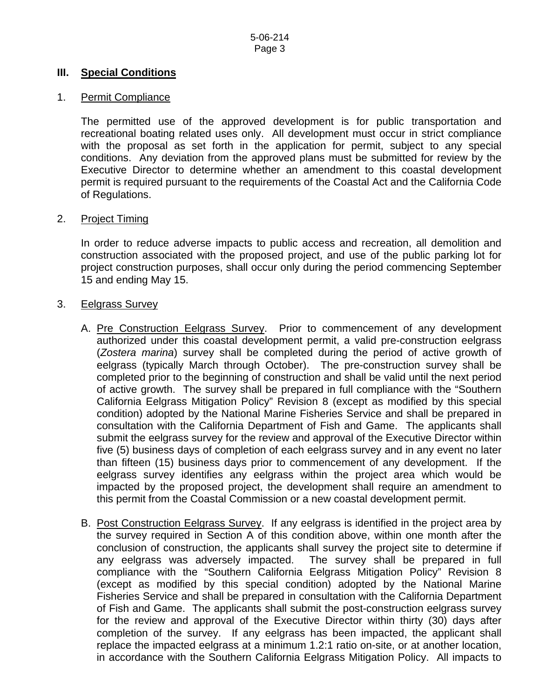#### **III. Special Conditions**

#### 1. Permit Compliance

 The permitted use of the approved development is for public transportation and recreational boating related uses only. All development must occur in strict compliance with the proposal as set forth in the application for permit, subject to any special conditions. Any deviation from the approved plans must be submitted for review by the Executive Director to determine whether an amendment to this coastal development permit is required pursuant to the requirements of the Coastal Act and the California Code of Regulations.

#### 2. Project Timing

In order to reduce adverse impacts to public access and recreation, all demolition and construction associated with the proposed project, and use of the public parking lot for project construction purposes, shall occur only during the period commencing September 15 and ending May 15.

#### 3. Eelgrass Survey

- A. Pre Construction Eelgrass Survey. Prior to commencement of any development authorized under this coastal development permit, a valid pre-construction eelgrass (*Zostera marina*) survey shall be completed during the period of active growth of eelgrass (typically March through October). The pre-construction survey shall be completed prior to the beginning of construction and shall be valid until the next period of active growth. The survey shall be prepared in full compliance with the "Southern California Eelgrass Mitigation Policy" Revision 8 (except as modified by this special condition) adopted by the National Marine Fisheries Service and shall be prepared in consultation with the California Department of Fish and Game. The applicants shall submit the eelgrass survey for the review and approval of the Executive Director within five (5) business days of completion of each eelgrass survey and in any event no later than fifteen (15) business days prior to commencement of any development. If the eelgrass survey identifies any eelgrass within the project area which would be impacted by the proposed project, the development shall require an amendment to this permit from the Coastal Commission or a new coastal development permit.
- B. Post Construction Eelgrass Survey. If any eelgrass is identified in the project area by the survey required in Section A of this condition above, within one month after the conclusion of construction, the applicants shall survey the project site to determine if any eelgrass was adversely impacted. The survey shall be prepared in full compliance with the "Southern California Eelgrass Mitigation Policy" Revision 8 (except as modified by this special condition) adopted by the National Marine Fisheries Service and shall be prepared in consultation with the California Department of Fish and Game. The applicants shall submit the post-construction eelgrass survey for the review and approval of the Executive Director within thirty (30) days after completion of the survey. If any eelgrass has been impacted, the applicant shall replace the impacted eelgrass at a minimum 1.2:1 ratio on-site, or at another location, in accordance with the Southern California Eelgrass Mitigation Policy. All impacts to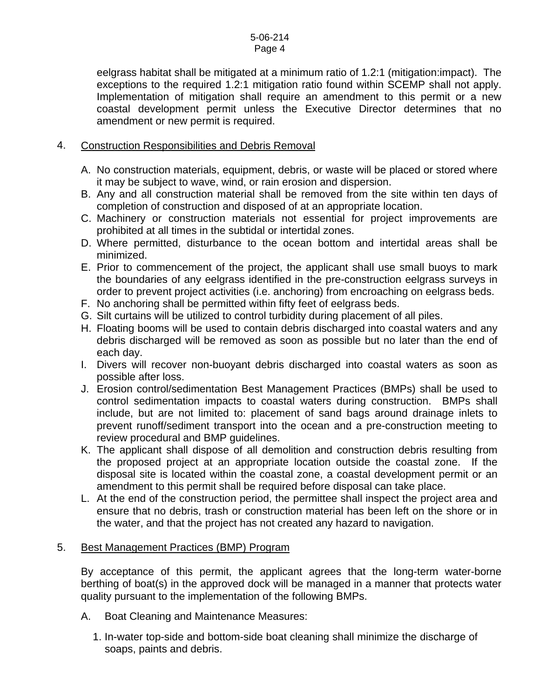eelgrass habitat shall be mitigated at a minimum ratio of 1.2:1 (mitigation:impact). The exceptions to the required 1.2:1 mitigation ratio found within SCEMP shall not apply. Implementation of mitigation shall require an amendment to this permit or a new coastal development permit unless the Executive Director determines that no amendment or new permit is required.

#### 4. Construction Responsibilities and Debris Removal

- A. No construction materials, equipment, debris, or waste will be placed or stored where it may be subject to wave, wind, or rain erosion and dispersion.
- B. Any and all construction material shall be removed from the site within ten days of completion of construction and disposed of at an appropriate location.
- C. Machinery or construction materials not essential for project improvements are prohibited at all times in the subtidal or intertidal zones.
- D. Where permitted, disturbance to the ocean bottom and intertidal areas shall be minimized.
- E. Prior to commencement of the project, the applicant shall use small buoys to mark the boundaries of any eelgrass identified in the pre-construction eelgrass surveys in order to prevent project activities (i.e. anchoring) from encroaching on eelgrass beds.
- F. No anchoring shall be permitted within fifty feet of eelgrass beds.
- G. Silt curtains will be utilized to control turbidity during placement of all piles.
- H. Floating booms will be used to contain debris discharged into coastal waters and any debris discharged will be removed as soon as possible but no later than the end of each day.
- I. Divers will recover non-buoyant debris discharged into coastal waters as soon as possible after loss.
- J. Erosion control/sedimentation Best Management Practices (BMPs) shall be used to control sedimentation impacts to coastal waters during construction. BMPs shall include, but are not limited to: placement of sand bags around drainage inlets to prevent runoff/sediment transport into the ocean and a pre-construction meeting to review procedural and BMP guidelines.
- K. The applicant shall dispose of all demolition and construction debris resulting from the proposed project at an appropriate location outside the coastal zone. If the disposal site is located within the coastal zone, a coastal development permit or an amendment to this permit shall be required before disposal can take place.
- L. At the end of the construction period, the permittee shall inspect the project area and ensure that no debris, trash or construction material has been left on the shore or in the water, and that the project has not created any hazard to navigation.

#### 5. Best Management Practices (BMP) Program

By acceptance of this permit, the applicant agrees that the long-term water-borne berthing of boat(s) in the approved dock will be managed in a manner that protects water quality pursuant to the implementation of the following BMPs.

- A. Boat Cleaning and Maintenance Measures:
	- 1. In-water top-side and bottom-side boat cleaning shall minimize the discharge of soaps, paints and debris.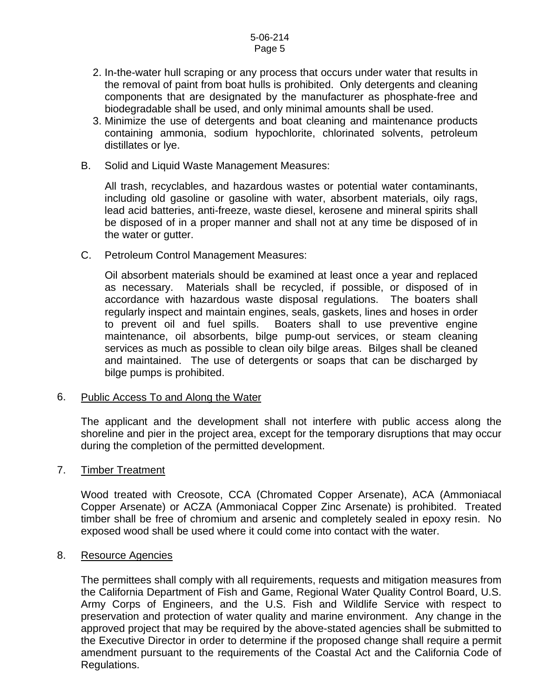- 2. In-the-water hull scraping or any process that occurs under water that results in the removal of paint from boat hulls is prohibited. Only detergents and cleaning components that are designated by the manufacturer as phosphate-free and biodegradable shall be used, and only minimal amounts shall be used.
- 3. Minimize the use of detergents and boat cleaning and maintenance products containing ammonia, sodium hypochlorite, chlorinated solvents, petroleum distillates or lye.
- B. Solid and Liquid Waste Management Measures:

All trash, recyclables, and hazardous wastes or potential water contaminants, including old gasoline or gasoline with water, absorbent materials, oily rags, lead acid batteries, anti-freeze, waste diesel, kerosene and mineral spirits shall be disposed of in a proper manner and shall not at any time be disposed of in the water or gutter.

C. Petroleum Control Management Measures:

Oil absorbent materials should be examined at least once a year and replaced as necessary. Materials shall be recycled, if possible, or disposed of in accordance with hazardous waste disposal regulations. The boaters shall regularly inspect and maintain engines, seals, gaskets, lines and hoses in order to prevent oil and fuel spills. Boaters shall to use preventive engine maintenance, oil absorbents, bilge pump-out services, or steam cleaning services as much as possible to clean oily bilge areas. Bilges shall be cleaned and maintained. The use of detergents or soaps that can be discharged by bilge pumps is prohibited.

#### 6. Public Access To and Along the Water

The applicant and the development shall not interfere with public access along the shoreline and pier in the project area, except for the temporary disruptions that may occur during the completion of the permitted development.

#### 7. Timber Treatment

Wood treated with Creosote, CCA (Chromated Copper Arsenate), ACA (Ammoniacal Copper Arsenate) or ACZA (Ammoniacal Copper Zinc Arsenate) is prohibited. Treated timber shall be free of chromium and arsenic and completely sealed in epoxy resin. No exposed wood shall be used where it could come into contact with the water.

#### 8. Resource Agencies

The permittees shall comply with all requirements, requests and mitigation measures from the California Department of Fish and Game, Regional Water Quality Control Board, U.S. Army Corps of Engineers, and the U.S. Fish and Wildlife Service with respect to preservation and protection of water quality and marine environment. Any change in the approved project that may be required by the above-stated agencies shall be submitted to the Executive Director in order to determine if the proposed change shall require a permit amendment pursuant to the requirements of the Coastal Act and the California Code of Regulations.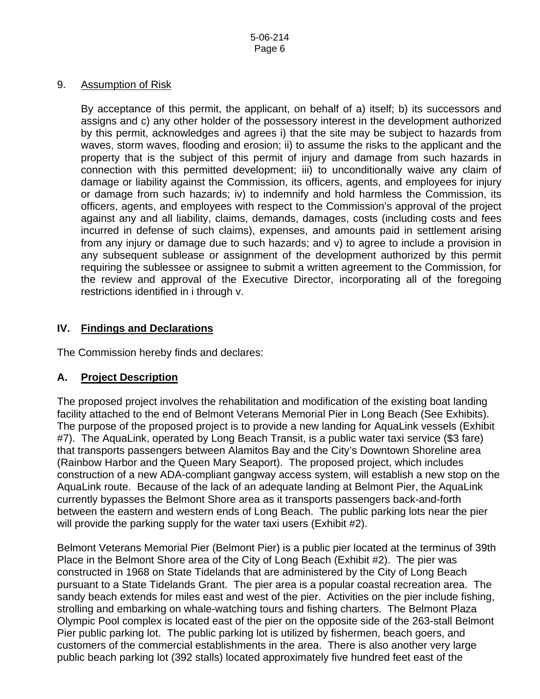#### 9. Assumption of Risk

By acceptance of this permit, the applicant, on behalf of a) itself; b) its successors and assigns and c) any other holder of the possessory interest in the development authorized by this permit, acknowledges and agrees i) that the site may be subject to hazards from waves, storm waves, flooding and erosion; ii) to assume the risks to the applicant and the property that is the subject of this permit of injury and damage from such hazards in connection with this permitted development; iii) to unconditionally waive any claim of damage or liability against the Commission, its officers, agents, and employees for injury or damage from such hazards; iv) to indemnify and hold harmless the Commission, its officers, agents, and employees with respect to the Commission's approval of the project against any and all liability, claims, demands, damages, costs (including costs and fees incurred in defense of such claims), expenses, and amounts paid in settlement arising from any injury or damage due to such hazards; and v) to agree to include a provision in any subsequent sublease or assignment of the development authorized by this permit requiring the sublessee or assignee to submit a written agreement to the Commission, for the review and approval of the Executive Director, incorporating all of the foregoing restrictions identified in i through v.

#### **IV. Findings and Declarations**

The Commission hereby finds and declares:

## **A. Project Description**

The proposed project involves the rehabilitation and modification of the existing boat landing facility attached to the end of Belmont Veterans Memorial Pier in Long Beach (See Exhibits). The purpose of the proposed project is to provide a new landing for AquaLink vessels (Exhibit #7). The AquaLink, operated by Long Beach Transit, is a public water taxi service (\$3 fare) that transports passengers between Alamitos Bay and the City's Downtown Shoreline area (Rainbow Harbor and the Queen Mary Seaport). The proposed project, which includes construction of a new ADA-compliant gangway access system, will establish a new stop on the AquaLink route. Because of the lack of an adequate landing at Belmont Pier, the AquaLink currently bypasses the Belmont Shore area as it transports passengers back-and-forth between the eastern and western ends of Long Beach. The public parking lots near the pier will provide the parking supply for the water taxi users (Exhibit #2).

Belmont Veterans Memorial Pier (Belmont Pier) is a public pier located at the terminus of 39th Place in the Belmont Shore area of the City of Long Beach (Exhibit #2). The pier was constructed in 1968 on State Tidelands that are administered by the City of Long Beach pursuant to a State Tidelands Grant. The pier area is a popular coastal recreation area. The sandy beach extends for miles east and west of the pier. Activities on the pier include fishing, strolling and embarking on whale-watching tours and fishing charters. The Belmont Plaza Olympic Pool complex is located east of the pier on the opposite side of the 263-stall Belmont Pier public parking lot. The public parking lot is utilized by fishermen, beach goers, and customers of the commercial establishments in the area. There is also another very large public beach parking lot (392 stalls) located approximately five hundred feet east of the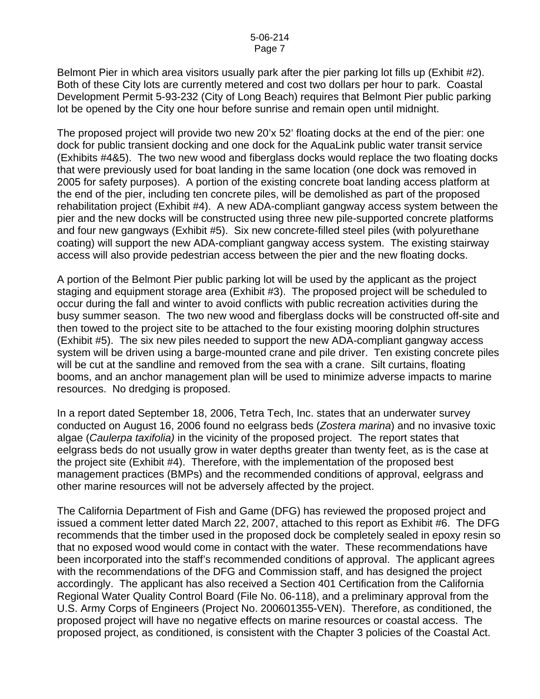Belmont Pier in which area visitors usually park after the pier parking lot fills up (Exhibit #2). Both of these City lots are currently metered and cost two dollars per hour to park. Coastal Development Permit 5-93-232 (City of Long Beach) requires that Belmont Pier public parking lot be opened by the City one hour before sunrise and remain open until midnight.

The proposed project will provide two new 20'x 52' floating docks at the end of the pier: one dock for public transient docking and one dock for the AquaLink public water transit service (Exhibits #4&5). The two new wood and fiberglass docks would replace the two floating docks that were previously used for boat landing in the same location (one dock was removed in 2005 for safety purposes). A portion of the existing concrete boat landing access platform at the end of the pier, including ten concrete piles, will be demolished as part of the proposed rehabilitation project (Exhibit #4). A new ADA-compliant gangway access system between the pier and the new docks will be constructed using three new pile-supported concrete platforms and four new gangways (Exhibit #5). Six new concrete-filled steel piles (with polyurethane coating) will support the new ADA-compliant gangway access system. The existing stairway access will also provide pedestrian access between the pier and the new floating docks.

A portion of the Belmont Pier public parking lot will be used by the applicant as the project staging and equipment storage area (Exhibit #3). The proposed project will be scheduled to occur during the fall and winter to avoid conflicts with public recreation activities during the busy summer season. The two new wood and fiberglass docks will be constructed off-site and then towed to the project site to be attached to the four existing mooring dolphin structures (Exhibit #5). The six new piles needed to support the new ADA-compliant gangway access system will be driven using a barge-mounted crane and pile driver. Ten existing concrete piles will be cut at the sandline and removed from the sea with a crane. Silt curtains, floating booms, and an anchor management plan will be used to minimize adverse impacts to marine resources. No dredging is proposed.

In a report dated September 18, 2006, Tetra Tech, Inc. states that an underwater survey conducted on August 16, 2006 found no eelgrass beds (*Zostera marina*) and no invasive toxic algae (*Caulerpa taxifolia)* in the vicinity of the proposed project. The report states that eelgrass beds do not usually grow in water depths greater than twenty feet, as is the case at the project site (Exhibit #4). Therefore, with the implementation of the proposed best management practices (BMPs) and the recommended conditions of approval, eelgrass and other marine resources will not be adversely affected by the project.

The California Department of Fish and Game (DFG) has reviewed the proposed project and issued a comment letter dated March 22, 2007, attached to this report as Exhibit #6. The DFG recommends that the timber used in the proposed dock be completely sealed in epoxy resin so that no exposed wood would come in contact with the water. These recommendations have been incorporated into the staff's recommended conditions of approval. The applicant agrees with the recommendations of the DFG and Commission staff, and has designed the project accordingly. The applicant has also received a Section 401 Certification from the California Regional Water Quality Control Board (File No. 06-118), and a preliminary approval from the U.S. Army Corps of Engineers (Project No. 200601355-VEN). Therefore, as conditioned, the proposed project will have no negative effects on marine resources or coastal access. The proposed project, as conditioned, is consistent with the Chapter 3 policies of the Coastal Act.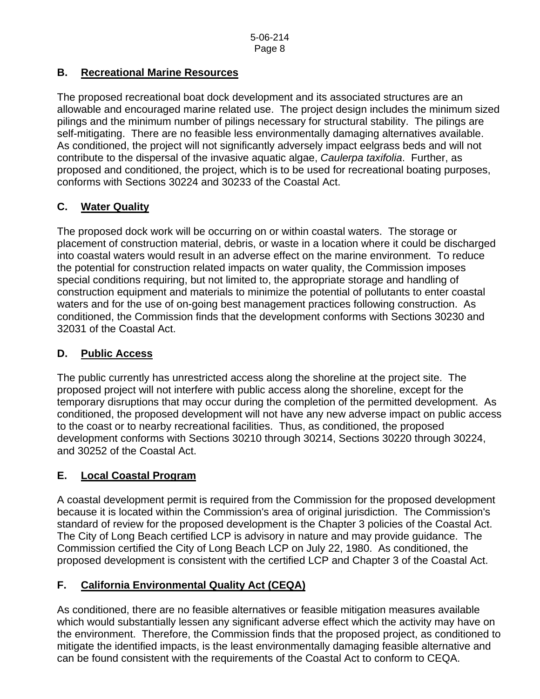## **B. Recreational Marine Resources**

The proposed recreational boat dock development and its associated structures are an allowable and encouraged marine related use. The project design includes the minimum sized pilings and the minimum number of pilings necessary for structural stability. The pilings are self-mitigating. There are no feasible less environmentally damaging alternatives available. As conditioned, the project will not significantly adversely impact eelgrass beds and will not contribute to the dispersal of the invasive aquatic algae, *Caulerpa taxifolia*. Further, as proposed and conditioned, the project, which is to be used for recreational boating purposes, conforms with Sections 30224 and 30233 of the Coastal Act.

## **C. Water Quality**

The proposed dock work will be occurring on or within coastal waters. The storage or placement of construction material, debris, or waste in a location where it could be discharged into coastal waters would result in an adverse effect on the marine environment. To reduce the potential for construction related impacts on water quality, the Commission imposes special conditions requiring, but not limited to, the appropriate storage and handling of construction equipment and materials to minimize the potential of pollutants to enter coastal waters and for the use of on-going best management practices following construction. As conditioned, the Commission finds that the development conforms with Sections 30230 and 32031 of the Coastal Act.

## **D. Public Access**

The public currently has unrestricted access along the shoreline at the project site. The proposed project will not interfere with public access along the shoreline, except for the temporary disruptions that may occur during the completion of the permitted development. As conditioned, the proposed development will not have any new adverse impact on public access to the coast or to nearby recreational facilities. Thus, as conditioned, the proposed development conforms with Sections 30210 through 30214, Sections 30220 through 30224, and 30252 of the Coastal Act.

## **E. Local Coastal Program**

A coastal development permit is required from the Commission for the proposed development because it is located within the Commission's area of original jurisdiction. The Commission's standard of review for the proposed development is the Chapter 3 policies of the Coastal Act. The City of Long Beach certified LCP is advisory in nature and may provide guidance. The Commission certified the City of Long Beach LCP on July 22, 1980. As conditioned, the proposed development is consistent with the certified LCP and Chapter 3 of the Coastal Act.

## **F. California Environmental Quality Act (CEQA)**

As conditioned, there are no feasible alternatives or feasible mitigation measures available which would substantially lessen any significant adverse effect which the activity may have on the environment. Therefore, the Commission finds that the proposed project, as conditioned to mitigate the identified impacts, is the least environmentally damaging feasible alternative and can be found consistent with the requirements of the Coastal Act to conform to CEQA.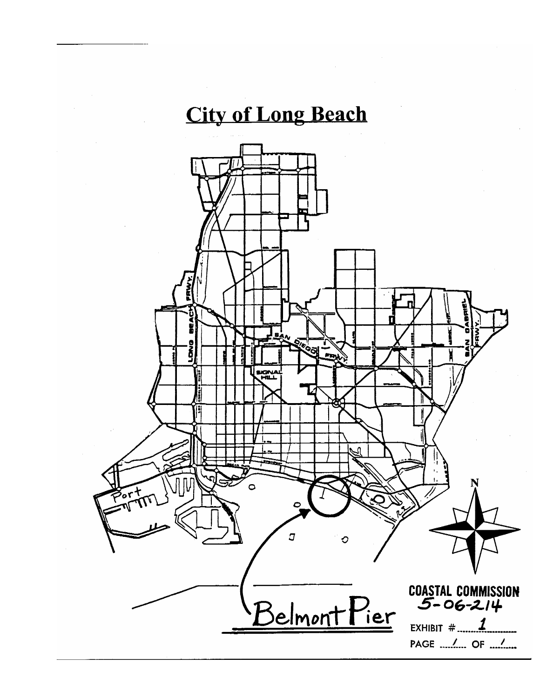## **City of Long Beach**

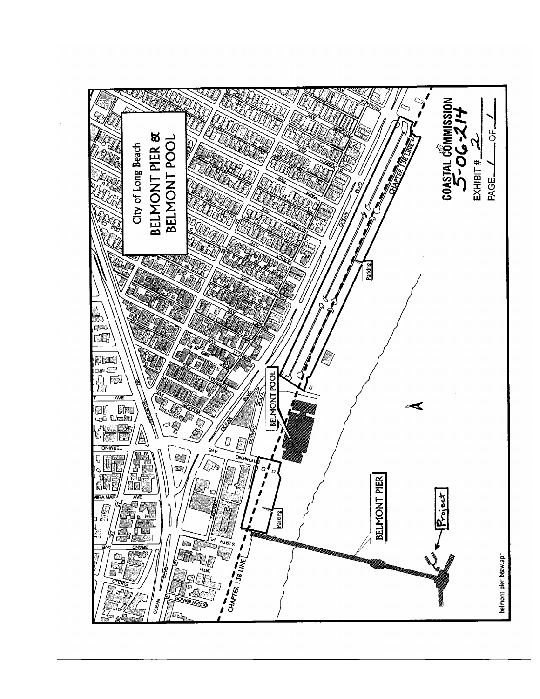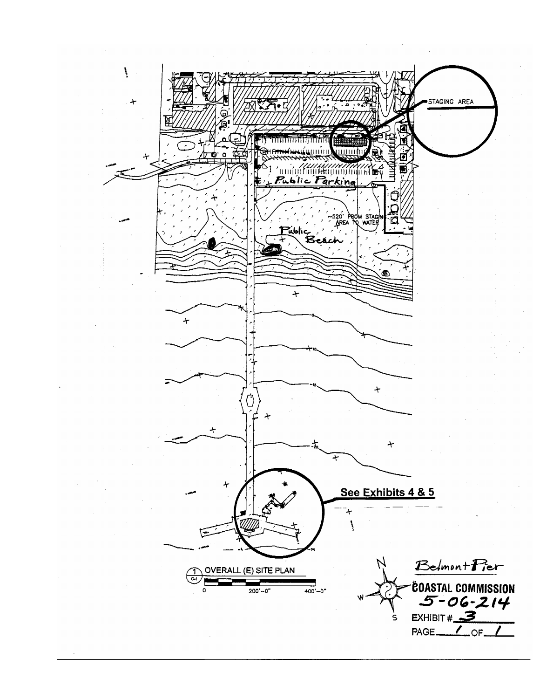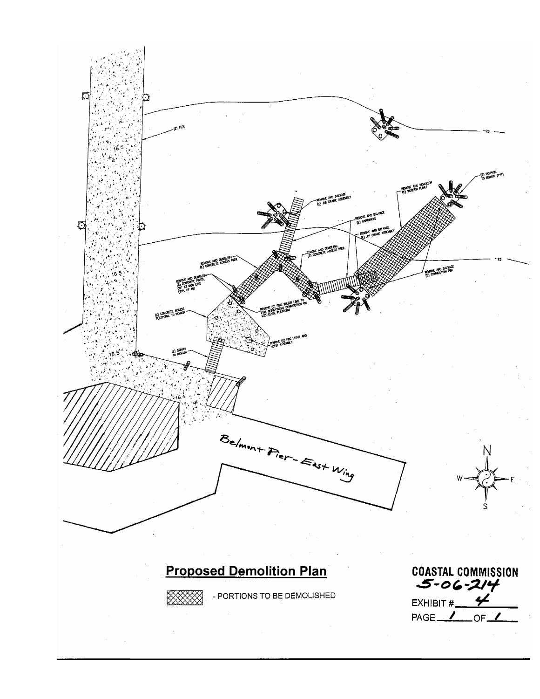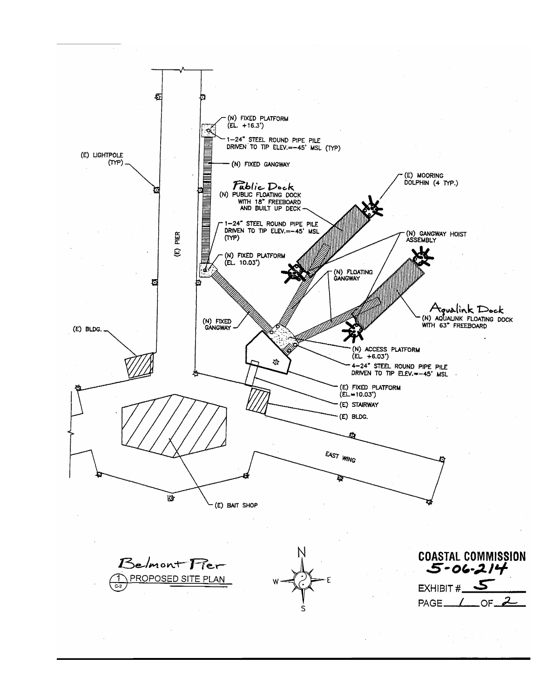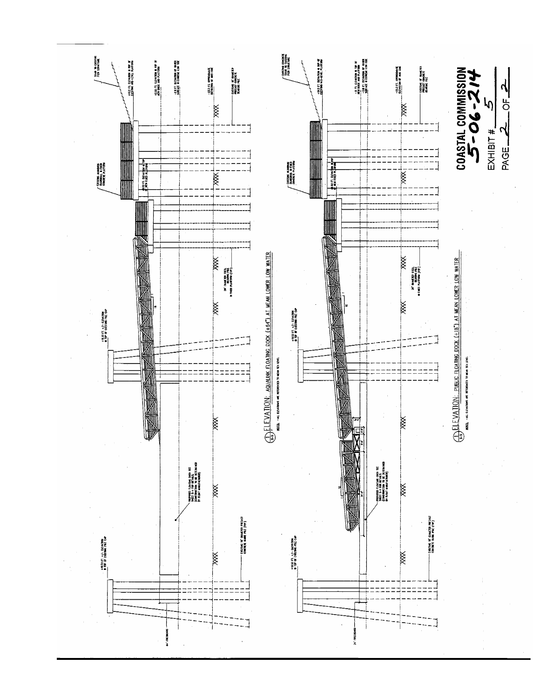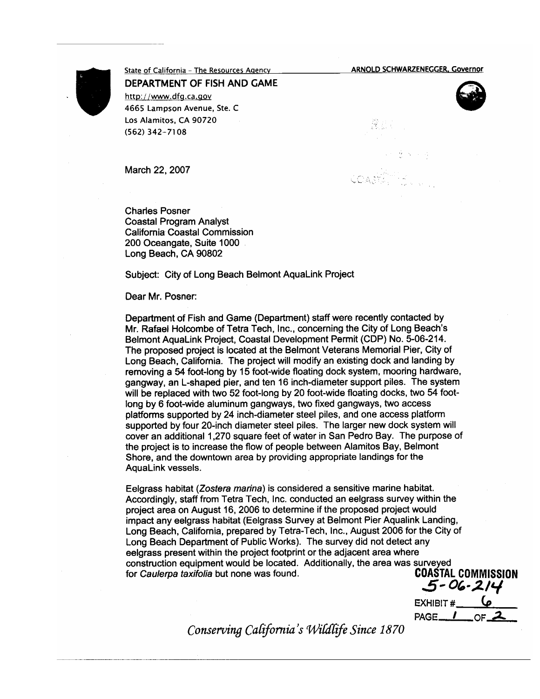**ARNOLD SCHWARZENEGGER, Governor** 

유소 .<br>19



State of California - The Resources Agency DEPARTMENT OF FISH AND GAME http://www.dfg.ca.gov 4665 Lampson Avenue, Ste. C Los Alamitos, CA 90720  $(562)$  342-7108

March 22, 2007

**Charles Posner Coastal Program Analyst** California Coastal Commission 200 Oceangate, Suite 1000 Long Beach, CA 90802

Subject: City of Long Beach Belmont AquaLink Project

Dear Mr. Posner:

Department of Fish and Game (Department) staff were recently contacted by Mr. Rafael Holcombe of Tetra Tech, Inc., concerning the City of Long Beach's Belmont AquaLink Project, Coastal Development Permit (CDP) No. 5-06-214. The proposed project is located at the Belmont Veterans Memorial Pier, City of Long Beach, California. The project will modify an existing dock and landing by removing a 54 foot-long by 15 foot-wide floating dock system, mooring hardware, gangway, an L-shaped pier, and ten 16 inch-diameter support piles. The system will be replaced with two 52 foot-long by 20 foot-wide floating docks, two 54 footlong by 6 foot-wide aluminum gangways, two fixed gangways, two access platforms supported by 24 inch-diameter steel piles, and one access platform supported by four 20-inch diameter steel piles. The larger new dock system will cover an additional 1,270 square feet of water in San Pedro Bay. The purpose of the project is to increase the flow of people between Alamitos Bay, Belmont Shore, and the downtown area by providing appropriate landings for the AquaLink vessels.

Eelgrass habitat (Zostera marina) is considered a sensitive marine habitat. Accordingly, staff from Tetra Tech, Inc. conducted an eelgrass survey within the project area on August 16, 2006 to determine if the proposed project would impact any eelgrass habitat (Eelgrass Survey at Belmont Pier Aqualink Landing, Long Beach, California, prepared by Tetra-Tech, Inc., August 2006 for the City of Long Beach Department of Public Works). The survey did not detect any eelgrass present within the project footprint or the adjacent area where construction equipment would be located. Additionally, the area was surveyed for Caulerpa taxifolia but none was found.

**COASTAL COMMISSION**  $5 - 06 - 214$ 

EXHIBIT # **4** PAGE<sub>-</sub>/

Conserving California's Wildlife Since 1870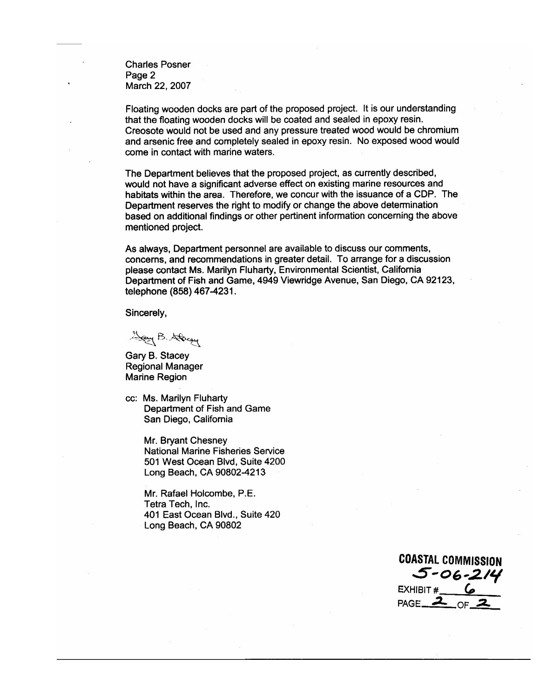**Charles Posner** Page 2 March 22, 2007

Floating wooden docks are part of the proposed project. It is our understanding that the floating wooden docks will be coated and sealed in epoxy resin. Creosote would not be used and any pressure treated wood would be chromium and arsenic free and completely sealed in epoxy resin. No exposed wood would come in contact with marine waters.

The Department believes that the proposed project, as currently described, would not have a significant adverse effect on existing marine resources and habitats within the area. Therefore, we concur with the issuance of a CDP. The Department reserves the right to modify or change the above determination based on additional findings or other pertinent information concerning the above mentioned project.

As always, Department personnel are available to discuss our comments, concerns, and recommendations in greater detail. To arrange for a discussion please contact Ms. Marilyn Fluharty, Environmental Scientist, California Department of Fish and Game, 4949 Viewridge Avenue, San Diego, CA 92123, telephone (858) 467-4231.

Sincerely,

Jay B. Stacey

Gary B. Stacey **Regional Manager Marine Region** 

cc: Ms. Marilyn Fluharty Department of Fish and Game San Diego, California

> Mr. Bryant Chesney National Marine Fisheries Service 501 West Ocean Blvd, Suite 4200 Long Beach, CA 90802-4213

Mr. Rafael Holcombe, P.E. Tetra Tech, Inc. 401 East Ocean Blvd., Suite 420 Long Beach, CA 90802

**COASTAL COMMISSION**  $5 - 06 - 214$ EXHIBIT  $#$   $\omega$ PAGE  $\overline{\mathbf{2}}$  $CFZ$